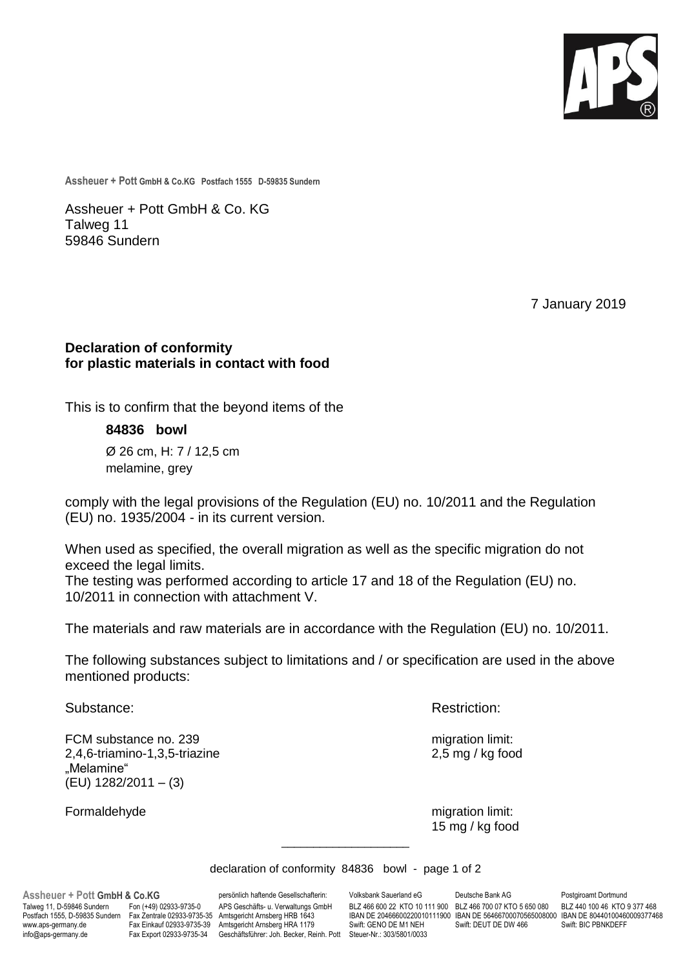

**Assheuer + Pott GmbH & Co.KG Postfach 1555 D-59835 Sundern**

Assheuer + Pott GmbH & Co. KG Talweg 11 59846 Sundern

7 January 2019

## **Declaration of conformity for plastic materials in contact with food**

This is to confirm that the beyond items of the

**84836 bowl**

Ø 26 cm, H: 7 / 12,5 cm melamine, grey

comply with the legal provisions of the Regulation (EU) no. 10/2011 and the Regulation (EU) no. 1935/2004 - in its current version.

When used as specified, the overall migration as well as the specific migration do not exceed the legal limits.

The testing was performed according to article 17 and 18 of the Regulation (EU) no. 10/2011 in connection with attachment V.

The materials and raw materials are in accordance with the Regulation (EU) no. 10/2011.

The following substances subject to limitations and / or specification are used in the above mentioned products:

FCM substance no. 239 migration limit: 2,4,6-triamino-1,3,5-triazine 2,5 mg / kg food "Melamine" (EU) 1282/2011 – (3)

Substance: **Restriction: Restriction: Restriction:** 

Formaldehyde migration limit: 15 mg / kg food

declaration of conformity 84836 bowl - page 1 of 2

\_\_\_\_\_\_\_\_\_\_\_\_\_\_\_\_\_\_\_\_

www.aps-germany.de Fax Einkauf 02933-9735-39 Amtsgericht Arnsberg HRA 1179<br>http: Geschäftsführer: Joh. Becker, Rehner GENO DET FRAMINGERFFFFERENDER FRAMINGERFFFERE

**Assheuer + Pott GmbH & Co.KG** persönlich haftende Gesellschafterin: Volksbank Sauerland eG Deutsche Bank AG Postgiroamt Dortmund<br>Talweg 11, D-59846 Sundern Fon (+49) 02933-9735-0 APS Geschäfts- u. Verwaltungs GmbH BLZ 466 Talweg 11, D-59846 Sundern Fon (+49) 02933-9735-0 APS Geschäfts- u. Verwaltungs GmbH BLZ 466 600 22 KTO 10 111 900 BLZ 466 700 07 KTO 5 650 080<br>Postfach 1555, D-59835 Sundern Fax Zentrale 02933-9735-35 Amtsgericht Arnsberg Postfach 1555, D-59835 Sundern Fax Zentrale 02933-9735-35 Amtsgericht Arnsberg HRB 1643 IBAN DE 20466600220010111900 IBAN DE 56466700070565008000 IBAN DE 80440100460009377468<br>www.aps-germany.de Fax Einkauf 02933-9735-39 Am info@aps-germany.de Fax Export 02933-9735-34 Geschäftsführer: Joh. Becker, Reinh. Pott Steuer-Nr.: 303/5801/0033